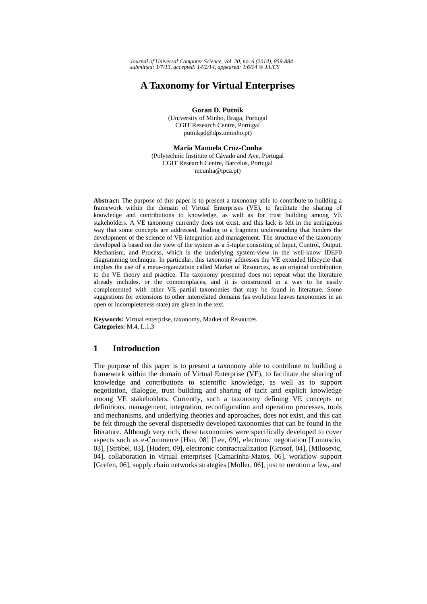*Journal of Universal Computer Science, vol. 20, no. 6 (2014), 859-884 submitted: 1/7/13, accepted: 14/2/14, appeared: 1/6/14* © *J.UCS*

# **A Taxonomy for Virtual Enterprises**

**Goran D. Putnik** 

(University of Minho, Braga, Portugal CGIT Research Centre, Portugal putnikgd@dps.uminho.pt)

**Maria Manuela Cruz-Cunha** (Polytechnic Institute of Cávado and Ave, Portugal CGIT Research Centre, Barcelos, Portugal mcunha@ipca.pt)

**Abstract:** The purpose of this paper is to present a taxonomy able to contribute to building a framework within the domain of Virtual Enterprises (VE), to facilitate the sharing of knowledge and contributions to knowledge, as well as for trust building among VE stakeholders. A VE taxonomy currently does not exist, and this lack is felt in the ambiguous way that some concepts are addressed, leading to a fragment understanding that hinders the development of the science of VE integration and management. The structure of the taxonomy developed is based on the view of the system as a 5-tuple consisting of Input, Control, Output, Mechanism, and Process, which is the underlying system-view in the well-know IDEF0 diagramming technique. In particular, this taxonomy addresses the VE extended lifecycle that implies the use of a meta-organization called Market of Resources, as an original contribution to the VE theory and practice. The taxonomy presented does not repeat what the literature already includes, or the commonplaces, and it is constructed in a way to be easily complemented with other VE partial taxonomies that may be found in literature. Some suggestions for extensions to other interrelated domains (as evolution leaves taxonomies in an open or incompleteness state) are given in the text.

**Keywords:** Virtual enterprise, taxonomy, Market of Resources **Categories:** M.4, L.1.3

# **1 Introduction**

The purpose of this paper is to present a taxonomy able to contribute to building a framework within the domain of Virtual Enterprise (VE), to facilitate the sharing of knowledge and contributions to scientific knowledge, as well as to support negotiation, dialogue, trust building and sharing of tacit and explicit knowledge among VE stakeholders. Currently, such a taxonomy defining VE concepts or definitions, management, integration, reconfiguration and operation processes, tools and mechanisms, and underlying theories and approaches, does not exist, and this can be felt through the several dispersedly developed taxonomies that can be found in the literature. Although very rich, these taxonomies were specifically developed to cover aspects such as e-Commerce [Hsu, 08] [Lee, 09], electronic negotiation [Lomuscio, 03], [Ströbel, 03], [Hudert, 09], electronic contractualization [Grosof, 04], [Milosevic, 04], collaboration in virtual enterprises [Camarinha-Matos, 06], workflow support [Grefen, 06], supply chain networks strategies [Moller, 06], just to mention a few, and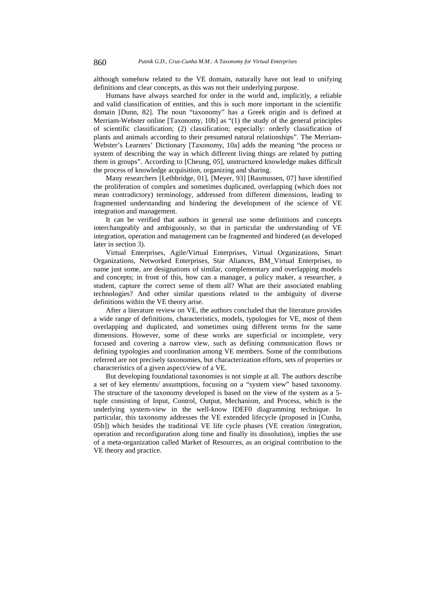although somehow related to the VE domain, naturally have not lead to unifying definitions and clear concepts, as this was not their underlying purpose.

Humans have always searched for order in the world and, implicitly, a reliable and valid classification of entities, and this is such more important in the scientific domain [Dunn, 82]. The noun "taxonomy" has a Greek origin and is defined at Merriam-Webster online [Taxonomy, 10b] as "(1) the study of the general principles of scientific classification; (2) classification; especially: orderly classification of plants and animals according to their presumed natural relationships". The Merriam-Webster's Learners' Dictionary [Taxonomy, 10a] adds the meaning "the process or system of describing the way in which different living things are related by putting them in groups". According to [Cheung, 05], unstructured knowledge makes difficult the process of knowledge acquisition, organizing and sharing.

Many researchers [Lethbridge, 01], [Meyer, 93] [Rasmussen, 07] have identified the proliferation of complex and sometimes duplicated, overlapping (which does not mean contradictory) terminology, addressed from different dimensions, leading to fragmented understanding and hindering the development of the science of VE integration and management.

It can be verified that authors in general use some definitions and concepts interchangeably and ambiguously, so that in particular the understanding of VE integration, operation and management can be fragmented and hindered (as developed later in section 3).

Virtual Enterprises, Agile/Virtual Enterprises, Virtual Organizations, Smart Organizations, Networked Enterprises, Star Aliances, BM\_Virtual Enterprises, to name just some, are designations of similar, complementary and overlapping models and concepts; in front of this, how can a manager, a policy maker, a researcher, a student, capture the correct sense of them all? What are their associated enabling technologies? And other similar questions related to the ambiguity of diverse definitions within the VE theory arise.

After a literature review on VE, the authors concluded that the literature provides a wide range of definitions, characteristics, models, typologies for VE, most of them overlapping and duplicated, and sometimes using different terms for the same dimensions. However, some of these works are superficial or incomplete, very focused and covering a narrow view, such as defining communication flows or defining typologies and coordination among VE members. Some of the contributions referred are not precisely taxonomies, but characterization efforts, sets of properties or characteristics of a given aspect/view of a VE.

But developing foundational taxonomies is not simple at all. The authors describe a set of key elements/ assumptions, focusing on a "system view" based taxonomy. The structure of the taxonomy developed is based on the view of the system as a 5 tuple consisting of Input, Control, Output, Mechanism, and Process, which is the underlying system-view in the well-know IDEF0 diagramming technique. In particular, this taxonomy addresses the VE extended lifecycle (proposed in [Cunha, 05b]) which besides the traditional VE life cycle phases (VE creation /integration, operation and reconfiguration along time and finally its dissolution), implies the use of a meta-organization called Market of Resources, as an original contribution to the VE theory and practice.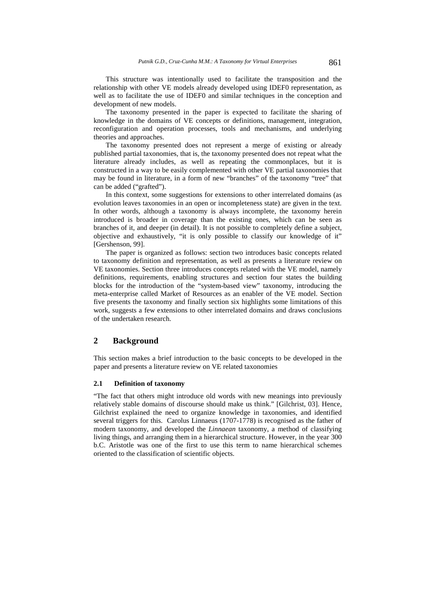This structure was intentionally used to facilitate the transposition and the relationship with other VE models already developed using IDEF0 representation, as well as to facilitate the use of IDEF0 and similar techniques in the conception and development of new models.

The taxonomy presented in the paper is expected to facilitate the sharing of knowledge in the domains of VE concepts or definitions, management, integration, reconfiguration and operation processes, tools and mechanisms, and underlying theories and approaches.

The taxonomy presented does not represent a merge of existing or already published partial taxonomies, that is, the taxonomy presented does not repeat what the literature already includes, as well as repeating the commonplaces, but it is constructed in a way to be easily complemented with other VE partial taxonomies that may be found in literature, in a form of new "branches" of the taxonomy "tree" that can be added ("grafted").

In this context, some suggestions for extensions to other interrelated domains (as evolution leaves taxonomies in an open or incompleteness state) are given in the text. In other words, although a taxonomy is always incomplete, the taxonomy herein introduced is broader in coverage than the existing ones, which can be seen as branches of it, and deeper (in detail). It is not possible to completely define a subject, objective and exhaustively, "it is only possible to classify our knowledge of it" [Gershenson, 99].

The paper is organized as follows: section two introduces basic concepts related to taxonomy definition and representation, as well as presents a literature review on VE taxonomies. Section three introduces concepts related with the VE model, namely definitions, requirements, enabling structures and section four states the building blocks for the introduction of the "system-based view" taxonomy, introducing the meta-enterprise called Market of Resources as an enabler of the VE model. Section five presents the taxonomy and finally section six highlights some limitations of this work, suggests a few extensions to other interrelated domains and draws conclusions of the undertaken research.

# **2 Background**

This section makes a brief introduction to the basic concepts to be developed in the paper and presents a literature review on VE related taxonomies

#### **2.1 Definition of taxonomy**

"The fact that others might introduce old words with new meanings into previously relatively stable domains of discourse should make us think." [Gilchrist, 03]. Hence, Gilchrist explained the need to organize knowledge in taxonomies, and identified several triggers for this. Carolus Linnaeus (1707-1778) is recognised as the father of modern taxonomy, and developed the *Linnaean* taxonomy, a method of classifying living things, and arranging them in a hierarchical structure. However, in the year 300 b.C. Aristotle was one of the first to use this term to name hierarchical schemes oriented to the classification of scientific objects.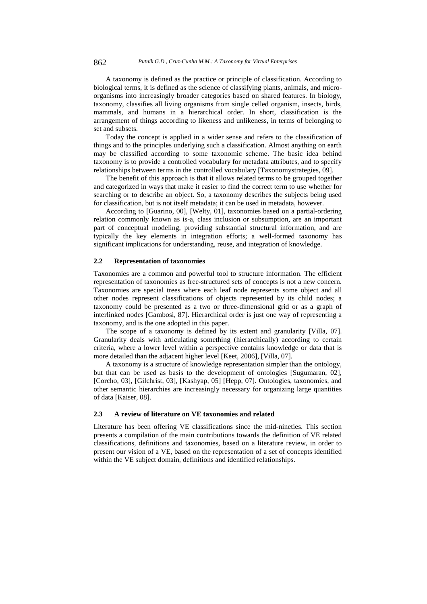A taxonomy is defined as the practice or principle of classification. According to biological terms, it is defined as the science of classifying plants, animals, and microorganisms into increasingly broader categories based on shared features. In biology, taxonomy, classifies all living organisms from single celled organism, insects, birds, mammals, and humans in a hierarchical order. In short, classification is the arrangement of things according to likeness and unlikeness, in terms of belonging to set and subsets.

Today the concept is applied in a wider sense and refers to the classification of things and to the principles underlying such a classification. Almost anything on earth may be classified according to some taxonomic scheme. The basic idea behind taxonomy is to provide a controlled vocabulary for metadata attributes, and to specify relationships between terms in the controlled vocabulary [Taxonomystrategies, 09].

The benefit of this approach is that it allows related terms to be grouped together and categorized in ways that make it easier to find the correct term to use whether for searching or to describe an object. So, a taxonomy describes the subjects being used for classification, but is not itself metadata; it can be used in metadata, however.

According to [Guarino, 00], [Welty, 01], taxonomies based on a partial-ordering relation commonly known as is-a, class inclusion or subsumption, are an important part of conceptual modeling, providing substantial structural information, and are typically the key elements in integration efforts; a well-formed taxonomy has significant implications for understanding, reuse, and integration of knowledge.

#### **2.2 Representation of taxonomies**

Taxonomies are a common and powerful tool to structure information. The efficient representation of taxonomies as free-structured sets of concepts is not a new concern. Taxonomies are special trees where each leaf node represents some object and all other nodes represent classifications of objects represented by its child nodes; a taxonomy could be presented as a two or three-dimensional grid or as a graph of interlinked nodes [Gambosi, 87]. Hierarchical order is just one way of representing a taxonomy, and is the one adopted in this paper.

The scope of a taxonomy is defined by its extent and granularity [Villa, 07]. Granularity deals with articulating something (hierarchically) according to certain criteria, where a lower level within a perspective contains knowledge or data that is more detailed than the adjacent higher level [Keet, 2006], [Villa, 07].

A taxonomy is a structure of knowledge representation simpler than the ontology, but that can be used as basis to the development of ontologies [Sugumaran, 02], [Corcho, 03], [Gilchrist, 03], [Kashyap, 05] [Hepp, 07]. Ontologies, taxonomies, and other semantic hierarchies are increasingly necessary for organizing large quantities of data [Kaiser, 08].

#### **2.3 A review of literature on VE taxonomies and related**

Literature has been offering VE classifications since the mid-nineties. This section presents a compilation of the main contributions towards the definition of VE related classifications, definitions and taxonomies, based on a literature review, in order to present our vision of a VE, based on the representation of a set of concepts identified within the VE subject domain, definitions and identified relationships.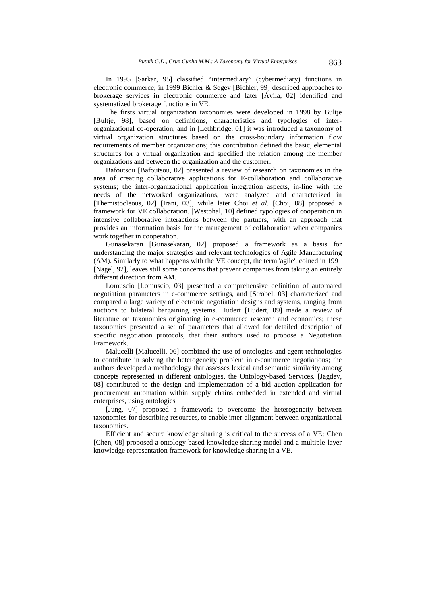In 1995 [Sarkar, 95] classified "intermediary" (cybermediary) functions in electronic commerce; in 1999 Bichler & Segev [Bichler, 99] described approaches to brokerage services in electronic commerce and later [Ávila, 02] identified and systematized brokerage functions in VE.

The firsts virtual organization taxonomies were developed in 1998 by Bultje [Bultje, 98], based on definitions, characteristics and typologies of interorganizational co-operation, and in [Lethbridge, 01] it was introduced a taxonomy of virtual organization structures based on the cross-boundary information flow requirements of member organizations; this contribution defined the basic, elemental structures for a virtual organization and specified the relation among the member organizations and between the organization and the customer.

Bafoutsou [Bafoutsou, 02] presented a review of research on taxonomies in the area of creating collaborative applications for E-collaboration and collaborative systems; the inter-organizational application integration aspects, in-line with the needs of the networked organizations, were analyzed and characterized in [Themistocleous, 02] [Irani, 03], while later Choi *et al.* [Choi, 08] proposed a framework for VE collaboration. [Westphal, 10] defined typologies of cooperation in intensive collaborative interactions between the partners, with an approach that provides an information basis for the management of collaboration when companies work together in cooperation.

Gunasekaran [Gunasekaran, 02] proposed a framework as a basis for understanding the major strategies and relevant technologies of Agile Manufacturing (AM). Similarly to what happens with the VE concept, the term 'agile', coined in 1991 [Nagel, 92], leaves still some concerns that prevent companies from taking an entirely different direction from AM.

Lomuscio [Lomuscio, 03] presented a comprehensive definition of automated negotiation parameters in e-commerce settings, and [Ströbel, 03] characterized and compared a large variety of electronic negotiation designs and systems, ranging from auctions to bilateral bargaining systems. Hudert [Hudert, 09] made a review of literature on taxonomies originating in e-commerce research and economics; these taxonomies presented a set of parameters that allowed for detailed description of specific negotiation protocols, that their authors used to propose a Negotiation Framework.

Malucelli [Malucelli, 06] combined the use of ontologies and agent technologies to contribute in solving the heterogeneity problem in e-commerce negotiations; the authors developed a methodology that assesses lexical and semantic similarity among concepts represented in different ontologies, the Ontology-based Services. [Jagdev, 08] contributed to the design and implementation of a bid auction application for procurement automation within supply chains embedded in extended and virtual enterprises, using ontologies

[Jung, 07] proposed a framework to overcome the heterogeneity between taxonomies for describing resources, to enable inter-alignment between organizational taxonomies.

Efficient and secure knowledge sharing is critical to the success of a VE; Chen [Chen, 08] proposed a ontology-based knowledge sharing model and a multiple-layer knowledge representation framework for knowledge sharing in a VE.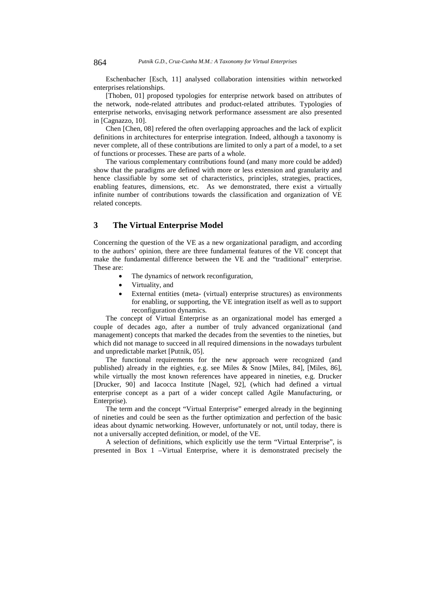Eschenbacher [Esch, 11] analysed collaboration intensities within networked enterprises relationships.

[Thoben, 01] proposed typologies for enterprise network based on attributes of the network, node-related attributes and product-related attributes. Typologies of enterprise networks, envisaging network performance assessment are also presented in [Cagnazzo, 10].

Chen [Chen, 08] refered the often overlapping approaches and the lack of explicit definitions in architectures for enterprise integration. Indeed, although a taxonomy is never complete, all of these contributions are limited to only a part of a model, to a set of functions or processes. These are parts of a whole.

The various complementary contributions found (and many more could be added) show that the paradigms are defined with more or less extension and granularity and hence classifiable by some set of characteristics, principles, strategies, practices, enabling features, dimensions, etc. As we demonstrated, there exist a virtually infinite number of contributions towards the classification and organization of VE related concepts.

# **3 The Virtual Enterprise Model**

Concerning the question of the VE as a new organizational paradigm, and according to the authors' opinion, there are three fundamental features of the VE concept that make the fundamental difference between the VE and the "traditional" enterprise. These are:

- The dynamics of network reconfiguration,
- Virtuality, and
- External entities (meta- (virtual) enterprise structures) as environments for enabling, or supporting, the VE integration itself as well as to support reconfiguration dynamics.

The concept of Virtual Enterprise as an organizational model has emerged a couple of decades ago, after a number of truly advanced organizational (and management) concepts that marked the decades from the seventies to the nineties, but which did not manage to succeed in all required dimensions in the nowadays turbulent and unpredictable market [Putnik, 05].

The functional requirements for the new approach were recognized (and published) already in the eighties, e.g. see Miles & Snow [Miles, 84], [Miles, 86], while virtually the most known references have appeared in nineties, e.g. Drucker [Drucker, 90] and Iacocca Institute [Nagel, 92], (which had defined a virtual enterprise concept as a part of a wider concept called Agile Manufacturing, or Enterprise).

The term and the concept "Virtual Enterprise" emerged already in the beginning of nineties and could be seen as the further optimization and perfection of the basic ideas about dynamic networking. However, unfortunately or not, until today, there is not a universally accepted definition, or model, of the VE.

A selection of definitions, which explicitly use the term "Virtual Enterprise", is presented in Box 1 –Virtual Enterprise, where it is demonstrated precisely the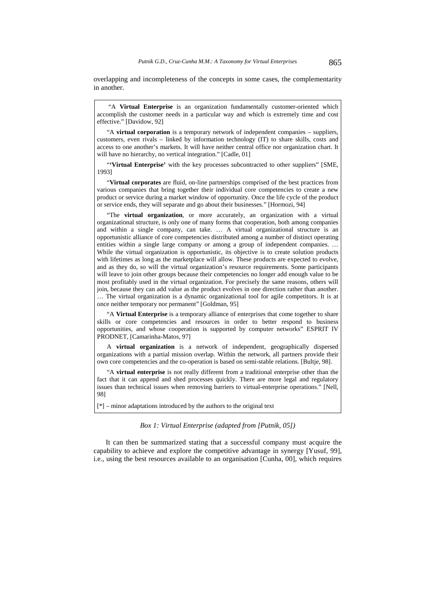overlapping and incompleteness of the concepts in some cases, the complementarity in another.

 "A **Virtual Enterprise** is an organization fundamentally customer-oriented which accomplish the customer needs in a particular way and which is extremely time and cost effective." [Davidow, 92]

"A **virtual corporation** is a temporary network of independent companies – suppliers, customers, even rivals – linked by information technology (IT) to share skills, costs and access to one another's markets. It will have neither central office nor organization chart. It will have no hierarchy, no vertical integration." [Cadle, 01]

"**'Virtual Enterprise'** with the key processes subcontracted to other suppliers" [SME, 1993]

"**Virtual corporates** are fluid, on-line partnerships comprised of the best practices from various companies that bring together their individual core competencies to create a new product or service during a market window of opportunity. Once the life cycle of the product or service ends, they will separate and go about their businesses." [Hormozi, 94]

"The **virtual organization**, or more accurately, an organization with a virtual organizational structure, is only one of many forms that cooperation, both among companies and within a single company, can take. … A virtual organizational structure is an opportunistic alliance of core competencies distributed among a number of distinct operating entities within a single large company or among a group of independent companies. … While the virtual organization is opportunistic, its objective is to create solution products with lifetimes as long as the marketplace will allow. These products are expected to evolve, and as they do, so will the virtual organization's resource requirements. Some participants will leave to join other groups because their competencies no longer add enough value to be most profitably used in the virtual organization. For precisely the same reasons, others will join, because they can add value as the product evolves in one direction rather than another. … The virtual organization is a dynamic organizational tool for agile competitors. It is at once neither temporary nor permanent" [Goldman, 95]

"A **Virtual Enterprise** is a temporary alliance of enterprises that come together to share skills or core competencies and resources in order to better respond to business opportunities, and whose cooperation is supported by computer networks" ESPRIT IV PRODNET, [Camarinha-Matos, 97]

A **virtual organization** is a network of independent, geographically dispersed organizations with a partial mission overlap. Within the network, all partners provide their own core competencies and the co-operation is based on semi-stable relations. [Bultje, 98].

"A **virtual enterprise** is not really different from a traditional enterprise other than the fact that it can append and shed processes quickly. There are more legal and regulatory issues than technical issues when removing barriers to virtual-enterprise operations." [Nell, 98]

[\*] – minor adaptations introduced by the authors to the original text

#### *Box 1: Virtual Enterprise (adapted from [Putnik, 05])*

It can then be summarized stating that a successful company must acquire the capability to achieve and explore the competitive advantage in synergy [Yusuf, 99], i.e., using the best resources available to an organisation [Cunha, 00], which requires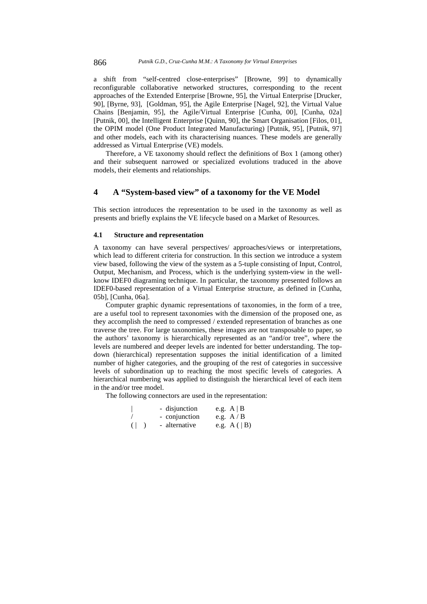a shift from "self-centred close-enterprises" [Browne, 99] to dynamically reconfigurable collaborative networked structures, corresponding to the recent approaches of the Extended Enterprise [Browne, 95], the Virtual Enterprise [Drucker, 90], [Byrne, 93], [Goldman, 95], the Agile Enterprise [Nagel, 92], the Virtual Value Chains [Benjamin, 95], the Agile/Virtual Enterprise [Cunha, 00], [Cunha, 02a] [Putnik, 00], the Intelligent Enterprise [Quinn, 90], the Smart Organisation [Filos, 01], the OPIM model (One Product Integrated Manufacturing) [Putnik, 95], [Putnik, 97] and other models, each with its characterising nuances. These models are generally addressed as Virtual Enterprise (VE) models.

Therefore, a VE taxonomy should reflect the definitions of Box 1 (among other) and their subsequent narrowed or specialized evolutions traduced in the above models, their elements and relationships.

# **4 A "System-based view" of a taxonomy for the VE Model**

This section introduces the representation to be used in the taxonomy as well as presents and briefly explains the VE lifecycle based on a Market of Resources.

#### **4.1 Structure and representation**

A taxonomy can have several perspectives/ approaches/views or interpretations, which lead to different criteria for construction. In this section we introduce a system view based, following the view of the system as a 5-tuple consisting of Input, Control, Output, Mechanism, and Process, which is the underlying system-view in the wellknow IDEF0 diagraming technique. In particular, the taxonomy presented follows an IDEF0-based representation of a Virtual Enterprise structure, as defined in [Cunha, 05b], [Cunha, 06a].

Computer graphic dynamic representations of taxonomies, in the form of a tree, are a useful tool to represent taxonomies with the dimension of the proposed one, as they accomplish the need to compressed / extended representation of branches as one traverse the tree. For large taxonomies, these images are not transposable to paper, so the authors' taxonomy is hierarchically represented as an "and/or tree", where the levels are numbered and deeper levels are indented for better understanding. The topdown (hierarchical) representation supposes the initial identification of a limited number of higher categories, and the grouping of the rest of categories in successive levels of subordination up to reaching the most specific levels of categories. A hierarchical numbering was applied to distinguish the hierarchical level of each item in the and/or tree model.

The following connectors are used in the representation:

| - disjunction | e.g. $A \mid B$ |
|---------------|-----------------|
| - conjunction | e.g. $A/B$      |
| - alternative | e.g. $A( B)$    |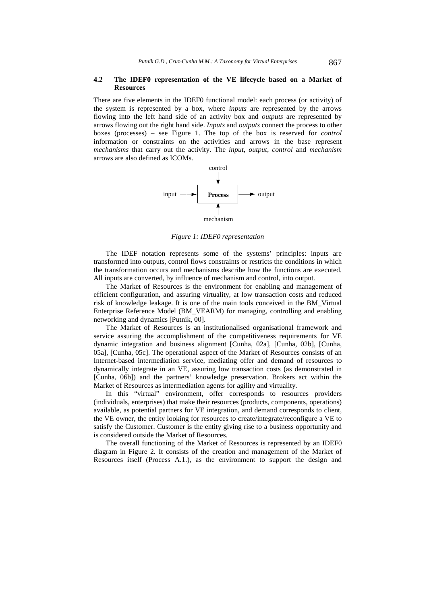#### **4.2 The IDEF0 representation of the VE lifecycle based on a Market of Resources**

There are five elements in the IDEF0 functional model: each process (or activity) of the system is represented by a box, where *inputs* are represented by the arrows flowing into the left hand side of an activity box and *outputs* are represented by arrows flowing out the right hand side. *Inputs* and *outputs* connect the process to other boxes (processes) – see Figure 1. The top of the box is reserved for *control* information or constraints on the activities and arrows in the base represent *mechanisms* that carry out the activity. The *input*, *output*, *control* and *mechanism* arrows are also defined as ICOMs.



*Figure 1: IDEF0 representation* 

The IDEF notation represents some of the systems' principles: inputs are transformed into outputs, control flows constraints or restricts the conditions in which the transformation occurs and mechanisms describe how the functions are executed. All inputs are converted, by influence of mechanism and control, into output.

The Market of Resources is the environment for enabling and management of efficient configuration, and assuring virtuality, at low transaction costs and reduced risk of knowledge leakage. It is one of the main tools conceived in the BM\_Virtual Enterprise Reference Model (BM\_VEARM) for managing, controlling and enabling networking and dynamics [Putnik, 00].

The Market of Resources is an institutionalised organisational framework and service assuring the accomplishment of the competitiveness requirements for VE dynamic integration and business alignment [Cunha, 02a], [Cunha, 02b], [Cunha, 05a], [Cunha, 05c]. The operational aspect of the Market of Resources consists of an Internet-based intermediation service, mediating offer and demand of resources to dynamically integrate in an VE, assuring low transaction costs (as demonstrated in [Cunha, 06b]) and the partners' knowledge preservation. Brokers act within the Market of Resources as intermediation agents for agility and virtuality.

In this "virtual" environment, offer corresponds to resources providers (individuals, enterprises) that make their resources (products, components, operations) available, as potential partners for VE integration, and demand corresponds to client, the VE owner, the entity looking for resources to create/integrate/reconfigure a VE to satisfy the Customer. Customer is the entity giving rise to a business opportunity and is considered outside the Market of Resources.

The overall functioning of the Market of Resources is represented by an IDEF0 diagram in Figure 2. It consists of the creation and management of the Market of Resources itself (Process A.1.), as the environment to support the design and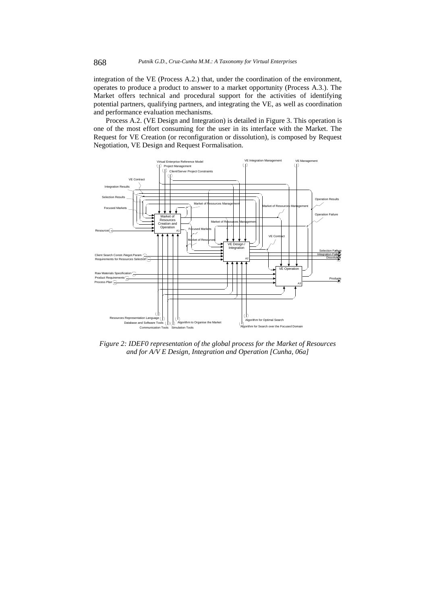integration of the VE (Process A.2.) that, under the coordination of the environment, operates to produce a product to answer to a market opportunity (Process A.3.). The Market offers technical and procedural support for the activities of identifying potential partners, qualifying partners, and integrating the VE, as well as coordination and performance evaluation mechanisms.

Process A.2. (VE Design and Integration) is detailed in Figure 3. This operation is one of the most effort consuming for the user in its interface with the Market. The Request for VE Creation (or reconfiguration or dissolution), is composed by Request Negotiation, VE Design and Request Formalisation.



*Figure 2: IDEF0 representation of the global process for the Market of Resources and for A/V E Design, Integration and Operation [Cunha, 06a]*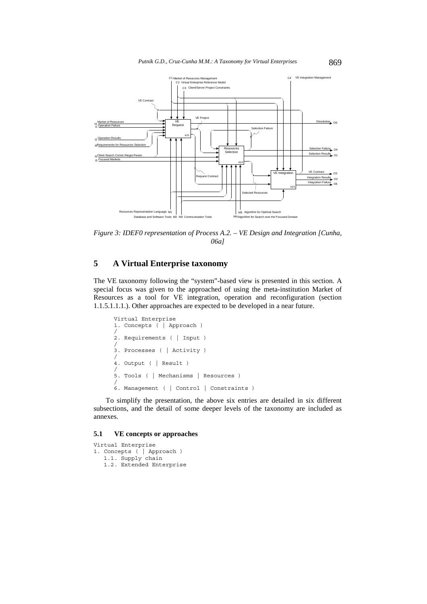

*Figure 3: IDEF0 representation of Process A.2. – VE Design and Integration [Cunha, 06a]* 

# **5 A Virtual Enterprise taxonomy**

The VE taxonomy following the "system"-based view is presented in this section. A special focus was given to the approached of using the meta-institution Market of Resources as a tool for VE integration, operation and reconfiguration (section 1.1.5.1.1.1.). Other approaches are expected to be developed in a near future.

```
Virtual Enterprise 
1. Concepts ( | Approach ) 
/ 
2. Requirements ( | Input ) 
/ 
3. Processes ( | Activity ) 
/ 
4. Output ( | Result ) 
/ 
5. Tools ( | Mechanisms | Resources ) 
/ 
6. Management ( | Control | Constraints )
```
To simplify the presentation, the above six entries are detailed in six different subsections, and the detail of some deeper levels of the taxonomy are included as annexes.

#### **5.1 VE concepts or approaches**

```
Virtual Enterprise 
1. Concepts ( | Approach ) 
 1.1. Supply chain 
    1.2. Extended Enterprise
```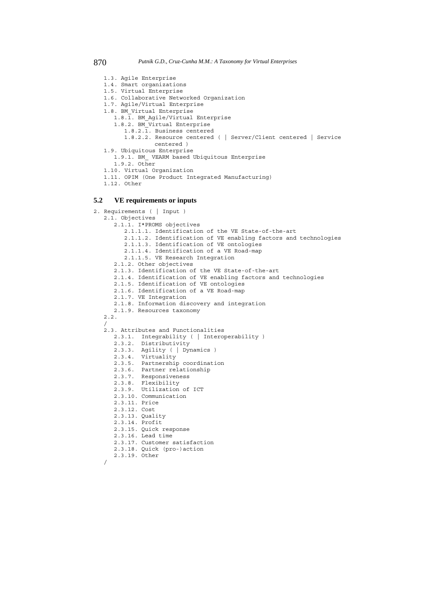```
 1.3. Agile Enterprise 
   1.4. Smart organizations 
   1.5. Virtual Enterprise 
   1.6. Collaborative Networked Organization 
   1.7. Agile/Virtual Enterprise 
   1.8. BM_Virtual Enterprise 
      1.8.1. BM_Agile/Virtual Enterprise 
      1.8.2. BM_Virtual Enterprise 
         1.8.2.1. Business centered 
         1.8.2.2. Resource centered ( | Server/Client centered | Service 
                 centered ) 
   1.9. Ubiquitous Enterprise 
 1.9.1. BM_ VEARM based Ubiquitous Enterprise 
 1.9.2. Other 
   1.10. Virtual Organization 
   1.11. OPIM (One Product Integrated Manufacturing)
```

```
 1.12. Other
```
#### **5.2 VE requirements or inputs**

```
2. Requirements ( | Input ) 
    2.1. Objectives 
      2.1.1. I*PROMS objectives 
         2.1.1.1. Identification of the VE State-of-the-art 
         2.1.1.2. Identification of VE enabling factors and technologies 
         2.1.1.3. Identification of VE ontologies 
         2.1.1.4. Identification of a VE Road-map 
          2.1.1.5. VE Research Integration 
      2.1.2. Other objectives 
       2.1.3. Identification of the VE State-of-the-art 
       2.1.4. Identification of VE enabling factors and technologies 
      2.1.5. Identification of VE ontologies 
      2.1.6. Identification of a VE Road-map 
       2.1.7. VE Integration 
      2.1.8. Information discovery and integration 
      2.1.9. Resources taxonomy 
   2.2. 
\overline{\phantom{a}} 2.3. Attributes and Functionalities 
      2.3.1. Integrability ( | Interoperability ) 
 2.3.2. Distributivity 
 2.3.3. Agility ( | Dynamics ) 
 2.3.4. Virtuality 
 2.3.5. Partnership coordination 
 2.3.6. Partner relationship 
 2.3.7. Responsiveness 
 2.3.8. Flexibility 
 2.3.9. Utilization of ICT 
      2.3.10. Communication 
      2.3.11. Price 
      2.3.12. Cost 
 2.3.13. Quality 
 2.3.14. Profit 
      2.3.15. Quick response 
      2.3.16. Lead time 
       2.3.17. Customer satisfaction 
      2.3.18. Quick (pro-)action
```

```
 2.3.19. Other 
 /
```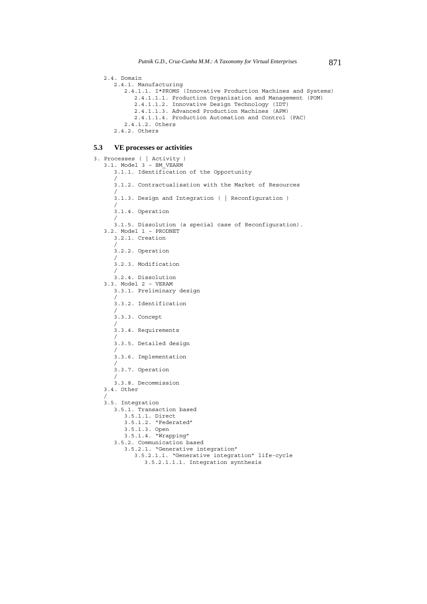```
 2.4. Domain 
    2.4.1. Manufacturing 
       2.4.1.1. I*PROMS (Innovative Production Machines and Systems) 
          2.4.1.1.1. Production Organization and Management (POM) 
          2.4.1.1.2. Innovative Design Technology (IDT) 
          2.4.1.1.3. Advanced Production Machines (APM) 
          2.4.1.1.4. Production Automation and Control (PAC) 
       2.4.1.2. Others 
    2.4.2. Others
```
## **5.3 VE processes or activities**

```
3. Processes ( | Activity ) 
    3.1. Model 3 – BM_VEARM 
       3.1.1. Identification of the Opportunity 
 / 
       3.1.2. Contractualisation with the Market of Resources 
 / 
       3.1.3. Design and Integration ( | Reconfiguration ) 
 / 
       3.1.4. Operation 
 / 
       3.1.5. Dissolution (a special case of Reconfiguration). 
    3.2. Model 1 – PRODNET 
       3.2.1. Creation 
 / 
       3.2.2. Operation 
 / 
       3.2.3. Modification 
 / 
       3.2.4. Dissolution 
    3.3. Model 2 – VERAM 
       3.3.1. Preliminary design 
 / 
       3.3.2. Identification 
 / 
       3.3.3. Concept 
 / 
       3.3.4. Requirements 
 / 
       3.3.5. Detailed design 
 / 
       3.3.6. Implementation 
 / 
       3.3.7. Operation 
 / 
       3.3.8. Decommission 
   3.4. Other 
\overline{\phantom{a}} 3.5. Integration 
       3.5.1. Transaction based 
          3.5.1.1. Direct 
          3.5.1.2. "Federated" 
         3.5.1.3. Open 
          3.5.1.4. "Wrapping" 
       3.5.2. Communication based 
          3.5.2.1. "Generative integration" 
             3.5.2.1.1. "Generative integration" life-cycle 
                3.5.2.1.1.1. Integration synthesis
```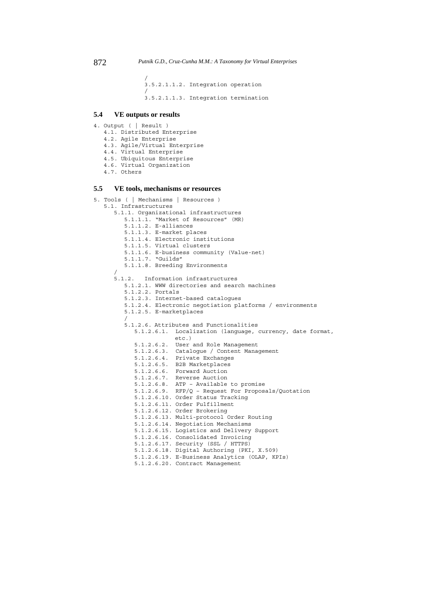```
 / 
            3.5.2.1.1.2. Integration operation 
 / 
            3.5.2.1.1.3. Integration termination
```
#### **5.4 VE outputs or results**

```
4. Output ( | Result )
```
- 4.1. Distributed Enterprise
- 4.2. Agile Enterprise
- 4.3. Agile/Virtual Enterprise
- 4.4. Virtual Enterprise
- 4.5. Ubiquitous Enterprise
- 4.6. Virtual Organization
- 4.7. Others

#### **5.5 VE tools, mechanisms or resources**

```
5. Tools ( | Mechanisms | Resources ) 
   5.1. Infrastructures 
      5.1.1. Organizational infrastructures 
         5.1.1.1. "Market of Resources" (MR) 
         5.1.1.2. E-alliances 
         5.1.1.3. E-market places 
         5.1.1.4. Electronic institutions 
         5.1.1.5. Virtual clusters 
         5.1.1.6. E-business community (Value-net) 
         5.1.1.7. "Guilds" 
         5.1.1.8. Breeding Environments 
 / 
      5.1.2. Information infrastructures 
         5.1.2.1. WWW directories and search machines 
         5.1.2.2. Portals 
         5.1.2.3. Internet-based catalogues 
         5.1.2.4. Electronic negotiation platforms / environments 
         5.1.2.5. E-marketplaces 
 / 
         5.1.2.6. Attributes and Functionalities 
            5.1.2.6.1. Localization (language, currency, date format, 
                       etc.) 
            5.1.2.6.2. User and Role Management 
 5.1.2.6.3. Catalogue / Content Management 
 5.1.2.6.4. Private Exchanges 
 5.1.2.6.5. B2B Marketplaces 
 5.1.2.6.6. Forward Auction 
 5.1.2.6.7. Reverse Auction 
 5.1.2.6.8. ATP – Available to promise 
 5.1.2.6.9. RFP/Q – Request For Proposals/Quotation 
 5.1.2.6.10. Order Status Tracking 
            5.1.2.6.11. Order Fulfillment 
            5.1.2.6.12. Order Brokering 
            5.1.2.6.13. Multi-protocol Order Routing 
            5.1.2.6.14. Negotiation Mechanisms 
            5.1.2.6.15. Logistics and Delivery Support 
            5.1.2.6.16. Consolidated Invoicing 
            5.1.2.6.17. Security (SSL / HTTPS) 
            5.1.2.6.18. Digital Authoring (PKI, X.509) 
            5.1.2.6.19. E-Business Analytics (OLAP, KPIs)
```
5.1.2.6.20. Contract Management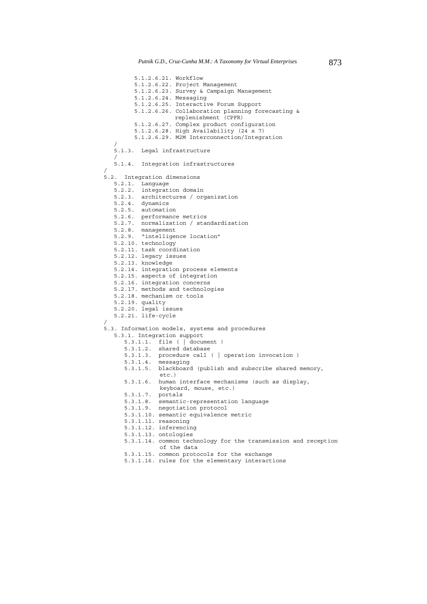```
 5.1.2.6.21. Workflow 
            5.1.2.6.22. Project Management 
            5.1.2.6.23. Survey & Campaign Management 
            5.1.2.6.24. Messaging 
            5.1.2.6.25. Interactive Forum Support 
            5.1.2.6.26. Collaboration planning forecasting & 
                      replenishment (CPFR) 
            5.1.2.6.27. Complex product configuration 
            5.1.2.6.28. High Availability (24 x 7) 
            5.1.2.6.29. M2M Interconnection/Integration 
 / 
      5.1.3. Legal infrastructure 
 / 
      5.1.4. Integration infrastructures 
 / 
   5.2. Integration dimensions 
      5.2.1. Language 
 5.2.2. integration domain 
 5.2.3. architectures / organization 
 5.2.4. dynamics 
 5.2.5. automation 
 5.2.6. performance metrics 
      5.2.7. normalization / standardization 
 5.2.8. management 
 5.2.9. "intelligence location" 
      5.2.10. technology 
      5.2.11. task coordination 
      5.2.12. legacy issues 
      5.2.13. knowledge 
      5.2.14. integration process elements 
      5.2.15. aspects of integration 
      5.2.16. integration concerns 
      5.2.17. methods and technologies 
      5.2.18. mechanism or tools 
 5.2.19. quality 
 5.2.20. legal issues 
      5.2.21. life-cycle 
\overline{\phantom{a}} 5.3. Information models, systems and procedures 
      5.3.1. Integration support 
 5.3.1.1. file ( | document ) 
 5.3.1.2. shared database 
 5.3.1.3. procedure call ( | operation invocation ) 
 5.3.1.4. messaging 
         5.3.1.5. blackboard (publish and subscribe shared memory, 
                  etc.) 
         5.3.1.6. human interface mechanisms (such as display, 
                  keyboard, mouse, etc.) 
 5.3.1.7. portals 
 5.3.1.8. semantic-representation language 
 5.3.1.9. negotiation protocol 
         5.3.1.10. semantic equivalence metric 
         5.3.1.11. reasoning 
         5.3.1.12. inferencing 
         5.3.1.13. ontologies 
         5.3.1.14. common technology for the transmission and reception 
                  of the data 
         5.3.1.15. common protocols for the exchange 
         5.3.1.16. rules for the elementary interactions
```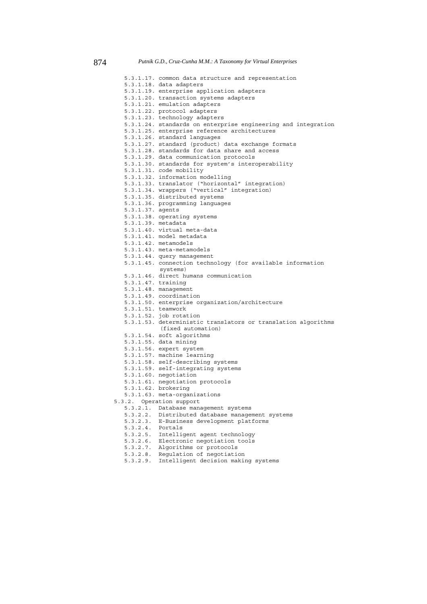5.3.1.17. common data structure and representation 5.3.1.18. data adapters 5.3.1.19. enterprise application adapters 5.3.1.20. transaction systems adapters 5.3.1.21. emulation adapters 5.3.1.22. protocol adapters 5.3.1.23. technology adapters 5.3.1.24. standards on enterprise engineering and integration 5.3.1.25. enterprise reference architectures 5.3.1.26. standard languages 5.3.1.27. standard (product) data exchange formats 5.3.1.28. standards for data share and access 5.3.1.29. data communication protocols 5.3.1.30. standards for system's interoperability 5.3.1.31. code mobility 5.3.1.32. information modelling 5.3.1.33. translator ("horizontal" integration) 5.3.1.34. wrappers ("vertical" integration) 5.3.1.35. distributed systems 5.3.1.36. programming languages 5.3.1.37. agents 5.3.1.38. operating systems 5.3.1.39. metadata 5.3.1.40. virtual meta-data 5.3.1.41. model metadata 5.3.1.42. metamodels 5.3.1.43. meta-metamodels 5.3.1.44. query management 5.3.1.45. connection technology (for available information systems) 5.3.1.46. direct humans communication 5.3.1.47. training 5.3.1.48. management 5.3.1.49. coordination 5.3.1.50. enterprise organization/architecture 5.3.1.51. teamwork 5.3.1.52. job rotation 5.3.1.53. deterministic translators or translation algorithms (fixed automation) 5.3.1.54. soft algorithms 5.3.1.55. data mining 5.3.1.56. expert system 5.3.1.57. machine learning 5.3.1.58. self-describing systems 5.3.1.59. self-integrating systems 5.3.1.60. negotiation 5.3.1.61. negotiation protocols 5.3.1.62. brokering 5.3.1.63. meta-organizations 5.3.2. Operation support 5.3.2.1. Database management systems 5.3.2.2. Distributed database management systems 5.3.2.3. E-Business development platforms 5.3.2.4. Portals 5.3.2.5. Intelligent agent technology

- 5.3.2.6. Electronic negotiation tools
- 5.3.2.7. Algorithms or protocols
- 5.3.2.8. Regulation of negotiation
- 5.3.2.9. Intelligent decision making systems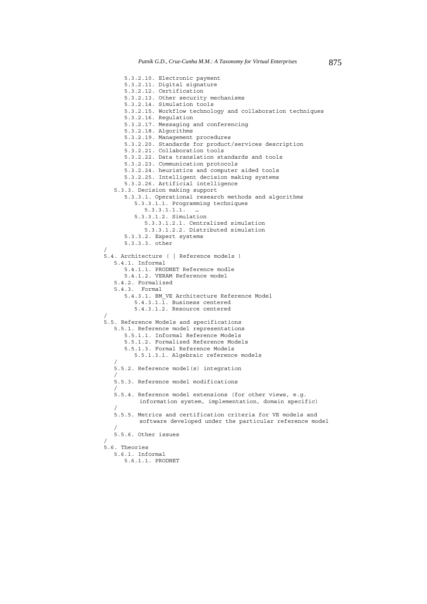5.3.2.10. Electronic payment 5.3.2.11. Digital signature 5.3.2.12. Certification 5.3.2.13. Other security mechanisms 5.3.2.14. Simulation tools 5.3.2.15. Workflow technology and collaboration techniques 5.3.2.16. Regulation 5.3.2.17. Messaging and conferencing 5.3.2.18. Algorithms 5.3.2.19. Management procedures 5.3.2.20. Standards for product/services description 5.3.2.21. Collaboration tools 5.3.2.22. Data translation standards and tools 5.3.2.23. Communication protocols 5.3.2.24. heuristics and computer aided tools 5.3.2.25. Intelligent decision making systems 5.3.2.26. Artificial intelligence 5.3.3. Decision making support 5.3.3.1. Operational research methods and algorithms 5.3.3.1.1. Programming techniques 5.3.3.1.1.1. … 5.3.3.1.2. Simulation 5.3.3.1.2.1. Centralized simulation 5.3.3.1.2.2. Distributed simulation 5.3.3.2. Expert systems 5.3.3.3. other  $\overline{\phantom{a}}$  5.4. Architecture ( | Reference models ) 5.4.1. Informal 5.4.1.1. PRODNET Reference modle 5.4.1.2. VERAM Reference model 5.4.2. Formalized 5.4.3. Formal 5.4.3.1. BM\_VE Architecture Reference Model 5.4.3.1.1. Business centered 5.4.3.1.2. Resource centered / 5.5. Reference Models and specifications 5.5.1. Reference model representations 5.5.1.1. Informal Reference Models 5.5.1.2. Formalized Reference Models 5.5.1.3. Formal Reference Models 5.5.1.3.1. Algebraic reference models / 5.5.2. Reference model(s) integration / 5.5.3. Reference model modifications / 5.5.4. Reference model extensions (for other views, e.g. information system, implementation, domain specific) / 5.5.5. Metrics and certification criteria for VE models and software developed under the particular reference model / 5.5.6. Other issues  $\frac{1}{2}$  5.6. Theories 5.6.1. Informal 5.6.1.1. PRODNET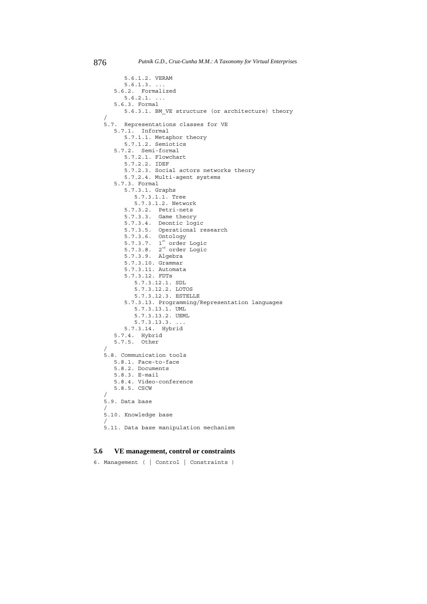```
 5.6.1.2. VERAM 
          5.6.1.3. ... 
       5.6.2. Formalized 
          5.6.2.1. ... 
       5.6.3. Formal 
          5.6.3.1. BM_VE structure (or architecture) theory 
\overline{\phantom{a}} 5.7. Representations classes for VE 
       5.7.1. Informal 
 5.7.1.1. Metaphor theory 
 5.7.1.2. Semiotics 
       5.7.2. Semi-formal 
 5.7.2.1. Flowchart 
 5.7.2.2. IDEF 
          5.7.2.3. Social actors networks theory 
          5.7.2.4. Multi-agent systems 
       5.7.3. Formal 
          5.7.3.1. Graphs 
             5.7.3.1.1. Tree 
             5.7.3.1.2. Network 
 5.7.3.2. Petri-nets 
 5.7.3.3. Game theory 
 5.7.3.4. Deontic logic 
 5.7.3.5. Operational research 
 5.7.3.6. Ontology 
5.7.3.7. 1^{st} order Logic
5.7.3.8. 2^{nd} order Logic
 5.7.3.9. Algebra 
          5.7.3.10. Grammar 
          5.7.3.11. Automata 
          5.7.3.12. FDTs 
             5.7.3.12.1. SDL 
             5.7.3.12.2. LOTOS 
             5.7.3.12.3. ESTELLE 
          5.7.3.13. Programming/Representation languages 
             5.7.3.13.1. UML 
             5.7.3.13.2. UEML 
             5.7.3.13.3. ... 
          5.7.3.14. Hybrid 
 5.7.4. Hybrid 
 5.7.5. Other 
\overline{\phantom{a}} 5.8. Communication tools 
       5.8.1. Face-to-face 
       5.8.2. Documents 
       5.8.3. E-mail 
       5.8.4. Video-conference 
       5.8.5. CSCW 
\overline{\phantom{a}} 5.9. Data base 
\overline{\phantom{a}} 5.10. Knowledge base 
\overline{\phantom{a}} 5.11. Data base manipulation mechanism 
876 Putnik G.D., Cruz-Cunha M.M.: A Taxonomy for Virtual Enterprises
```
## **5.6 VE management, control or constraints**

6. Management ( | Control | Constraints )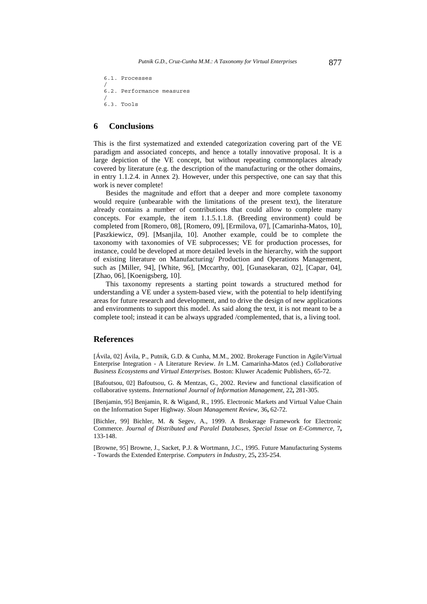6.1. Processes / 6.2. Performance measures / 6.3. Tools

### **6 Conclusions**

This is the first systematized and extended categorization covering part of the VE paradigm and associated concepts, and hence a totally innovative proposal. It is a large depiction of the VE concept, but without repeating commonplaces already covered by literature (e.g. the description of the manufacturing or the other domains, in entry 1.1.2.4. in Annex 2). However, under this perspective, one can say that this work is never complete!

Besides the magnitude and effort that a deeper and more complete taxonomy would require (unbearable with the limitations of the present text), the literature already contains a number of contributions that could allow to complete many concepts. For example, the item 1.1.5.1.1.8. (Breeding environment) could be completed from [Romero, 08], [Romero, 09], [Ermilova, 07], [Camarinha-Matos, 10], [Paszkiewicz, 09]. [Msanjila, 10]. Another example, could be to complete the taxonomy with taxonomies of VE subprocesses; VE for production processes, for instance, could be developed at more detailed levels in the hierarchy, with the support of existing literature on Manufacturing/ Production and Operations Management, such as [Miller, 94], [White, 96], [Mccarthy, 00], [Gunasekaran, 02], [Capar, 04], [Zhao, 06], [Koenigsberg, 10].

This taxonomy represents a starting point towards a structured method for understanding a VE under a system-based view, with the potential to help identifying areas for future research and development, and to drive the design of new applications and environments to support this model. As said along the text, it is not meant to be a complete tool; instead it can be always upgraded /complemented, that is, a living tool.

## **References**

[Ávila, 02] Ávila, P., Putnik, G.D. & Cunha, M.M., 2002. Brokerage Function in Agile/Virtual Enterprise Integration - A Literature Review. *In* L.M. Camarinha-Matos (ed.) *Collaborative Business Ecosystems and Virtual Enterprises.* Boston: Kluwer Academic Publishers, 65-72.

[Bafoutsou, 02] Bafoutsou, G. & Mentzas, G., 2002. Review and functional classification of collaborative systems. *International Journal of Information Management,* 22**,** 281-305.

[Benjamin, 95] Benjamin, R. & Wigand, R., 1995. Electronic Markets and Virtual Value Chain on the Information Super Highway. *Sloan Management Review,* 36**,** 62-72.

[Bichler, 99] Bichler, M. & Segev, A., 1999. A Brokerage Framework for Electronic Commerce. *Journal of Distributed and Paralel Databases, Special Issue on E-Commerce,* 7**,** 133-148.

[Browne, 95] Browne, J., Sacket, P.J. & Wortmann, J.C., 1995. Future Manufacturing Systems - Towards the Extended Enterprise. *Computers in Industry,* 25**,** 235-254.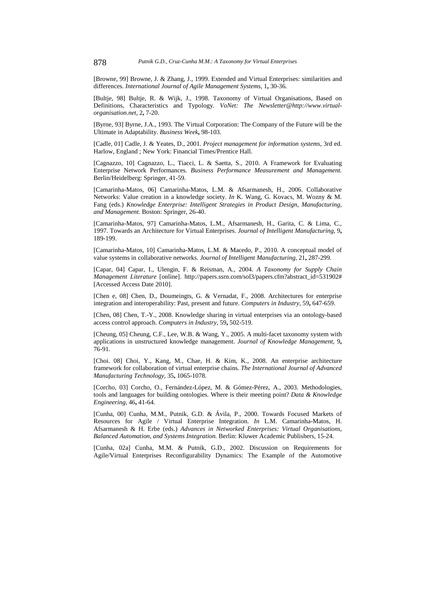[Browne, 99] Browne, J. & Zhang, J., 1999. Extended and Virtual Enterprises: similarities and differences. *International Journal of Agile Management Systems,* 1**,** 30-36.

[Bultje, 98] Bultje, R. & Wijk, J., 1998. Taxonomy of Virtual Organisations, Based on Definitions, Characteristics and Typology. *VoNet: The Newsletter@http://www.virtualorganisation.net,* 2**,** 7-20.

[Byrne, 93] Byrne, J.A., 1993. The Virtual Corporation: The Company of the Future will be the Ultimate in Adaptability. *Business Week***,** 98-103.

[Cadle, 01] Cadle, J. & Yeates, D., 2001. *Project management for information systems,* 3rd ed. Harlow, England ; New York: Financial Times/Prentice Hall.

[Cagnazzo, 10] Cagnazzo, L., Tiacci, L. & Saetta, S., 2010. A Framework for Evaluating Enterprise Network Performances. *Business Performance Measurement and Management.*  Berlin/Heidelberg: Springer, 41-59.

[Camarinha-Matos, 06] Camarinha-Matos, L.M. & Afsarmanesh, H., 2006. Collaborative Networks: Value creation in a knowledge society. *In* K. Wang, G. Kovacs, M. Wozny & M. Fang (eds.) *Knowledge Enterprise: Intelligent Strategies in Product Design, Manufacturing, and Management.* Boston: Springer, 26-40.

[Camarinha-Matos, 97] Camarinha-Matos, L.M., Afsarmanesh, H., Garita, C. & Lima, C., 1997. Towards an Architecture for Virtual Enterprises. *Journal of Intelligent Manufacturing,* 9**,** 189-199.

[Camarinha-Matos, 10] Camarinha-Matos, L.M. & Macedo, P., 2010. A conceptual model of value systems in collaborative networks. *Journal of Intelligent Manufacturing,* 21**,** 287-299.

[Capar, 04] Capar, I., Ulengin, F. & Reisman, A., 2004. *A Taxonomy for Supply Chain Management Literature* [online]. http://papers.ssrn.com/sol3/papers.cfm?abstract\_id=531902# [Accessed Access Date 2010].

[Chen e, 08] Chen, D., Doumeingts, G. & Vernadat, F., 2008. Architectures for enterprise integration and interoperability: Past, present and future. *Computers in Industry,* 59**,** 647-659.

[Chen, 08] Chen, T.-Y., 2008. Knowledge sharing in virtual enterprises via an ontology-based access control approach. *Computers in Industry,* 59**,** 502-519.

[Cheung, 05] Cheung, C.F., Lee, W.B. & Wang, Y., 2005. A multi-facet taxonomy system with applications in unstructured knowledge management. *Journal of Knowledge Management,* 9**,** 76-91.

[Choi. 08] Choi, Y., Kang, M., Chae, H. & Kim, K., 2008. An enterprise architecture framework for collaboration of virtual enterprise chains. *The International Journal of Advanced Manufacturing Technology,* 35**,** 1065-1078.

[Corcho, 03] Corcho, O., Fernández-López, M. & Gómez-Pérez, A., 2003. Methodologies, tools and languages for building ontologies. Where is their meeting point? *Data & Knowledge Engineering,* 46**,** 41-64.

[Cunha, 00] Cunha, M.M., Putnik, G.D. & Ávila, P., 2000. Towards Focused Markets of Resources for Agile / Virtual Enterprise Integration. *In* L.M. Camarinha-Matos, H. Afsarmanesh & H. Erbe (eds.) *Advances in Networked Enterprises: Virtual Organisations, Balanced Automation, and Systems Integration.* Berlin: Kluwer Academic Publishers, 15-24.

[Cunha, 02a] Cunha, M.M. & Putnik, G.D., 2002. Discussion on Requirements for Agile/Virtual Enterprises Reconfigurability Dynamics: The Example of the Automotive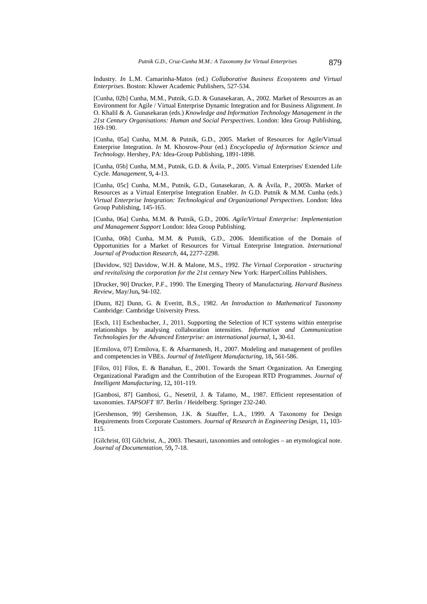Industry. *In* L.M. Camarinha-Matos (ed.) *Collaborative Business Ecosystems and Virtual Enterprises.* Boston: Kluwer Academic Publishers, 527-534.

[Cunha, 02b] Cunha, M.M., Putnik, G.D. & Gunasekaran, A., 2002. Market of Resources as an Environment for Agile / Virtual Enterprise Dynamic Integration and for Business Alignment. *In* O. Khalil & A. Gunasekaran (eds.) *Knowledge and Information Technology Management in the 21st Century Organisations: Human and Social Perspectives.* London: Idea Group Publishing, 169-190.

[Cunha, 05a] Cunha, M.M. & Putnik, G.D., 2005. Market of Resources for Agile/Virtual Enterprise Integration. *In* M. Khosrow-Pour (ed.) *Encyclopedia of Information Science and Technology.* Hershey, PA: Idea-Group Publishing, 1891-1898.

[Cunha, 05b] Cunha, M.M., Putnik, G.D. & Ávila, P., 2005. Virtual Enterprises' Extended Life Cycle. *Management,* 9**,** 4-13.

[Cunha, 05c] Cunha, M.M., Putnik, G.D., Gunasekaran, A. & Ávila, P., 2005b. Market of Resources as a Virtual Enterprise Integration Enabler. *In* G.D. Putnik & M.M. Cunha (eds.) *Virtual Enterprise Integration: Technological and Organizational Perspectives.* London: Idea Group Publishing, 145-165.

[Cunha, 06a] Cunha, M.M. & Putnik, G.D., 2006. *Agile/Virtual Enterprise: Implementation and Management Support* London: Idea Group Publishing.

[Cunha, 06b] Cunha, M.M. & Putnik, G.D., 2006. Identification of the Domain of Opportunities for a Market of Resources for Virtual Enterprise Integration. *International Journal of Production Research,* 44**,** 2277-2298.

[Davidow, 92] Davidow, W.H. & Malone, M.S., 1992. *The Virtual Corporation - structuring and revitalising the corporation for the 21st century* New York: HarperCollins Publishers.

[Drucker, 90] Drucker, P.F., 1990. The Emerging Theory of Manufacturing. *Harvard Business Review,* May/Jun**,** 94-102.

[Dunn, 82] Dunn, G. & Everitt, B.S., 1982. *An Introduction to Mathematical Taxonomy* Cambridge: Cambridge University Press.

[Esch, 11] Eschenbacher, J., 2011. Supporting the Selection of ICT systems within enterprise relationships by analysing collaboration intensities. *Information and Communication Technologies for the Advanced Enterprise: an international journal,* 1**,** 30-61.

[Ermilova, 07] Ermilova, E. & Afsarmanesh, H., 2007. Modeling and management of profiles and competencies in VBEs. *Journal of Intelligent Manufacturing,* 18**,** 561-586.

[Filos, 01] Filos, E. & Banahan, E., 2001. Towards the Smart Organization. An Emerging Organizational Paradigm and the Contribution of the European RTD Programmes. *Journal of Intelligent Manufacturing,* 12**,** 101-119.

[Gambosi, 87] Gambosi, G., Nesetril, J. & Talamo, M., 1987. Efficient representation of taxonomies. *TAPSOFT '87.* Berlin / Heidelberg: Springer 232-240.

[Gershenson, 99] Gershenson, J.K. & Stauffer, L.A., 1999. A Taxonomy for Design Requirements from Corporate Customers. *Journal of Research in Engineering Design,* 11**,** 103- 115.

[Gilchrist, 03] Gilchrist, A., 2003. Thesauri, taxonomies and ontologies – an etymological note. *Journal of Documentation,* 59**,** 7-18.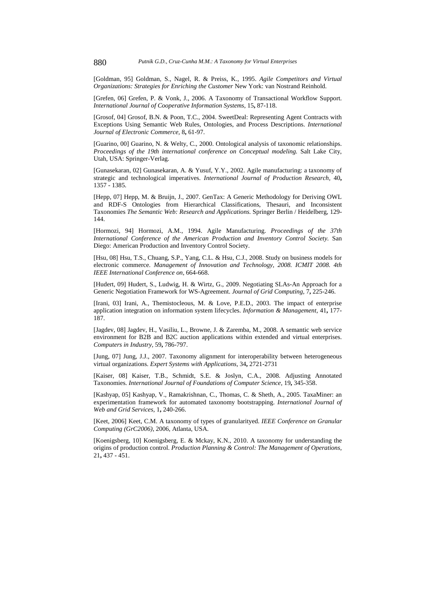[Goldman, 95] Goldman, S., Nagel, R. & Preiss, K., 1995. *Agile Competitors and Virtual Organizations: Strategies for Enriching the Customer* New York: van Nostrand Reinhold.

[Grefen, 06] Grefen, P. & Vonk, J., 2006. A Taxonomy of Transactional Workflow Support. *International Journal of Cooperative Information Systems,* 15**,** 87-118.

[Grosof, 04] Grosof, B.N. & Poon, T.C., 2004. SweetDeal: Representing Agent Contracts with Exceptions Using Semantic Web Rules, Ontologies, and Process Descriptions. *International Journal of Electronic Commerce,* 8**,** 61-97.

[Guarino, 00] Guarino, N. & Welty, C., 2000. Ontological analysis of taxonomic relationships. *Proceedings of the 19th international conference on Conceptual modeling.* Salt Lake City, Utah, USA: Springer-Verlag.

[Gunasekaran, 02] Gunasekaran, A. & Yusuf, Y.Y., 2002. Agile manufacturing: a taxonomy of strategic and technological imperatives. *International Journal of Production Research,* 40**,** 1357 - 1385.

[Hepp, 07] Hepp, M. & Bruijn, J., 2007. GenTax: A Generic Methodology for Deriving OWL and RDF-S Ontologies from Hierarchical Classifications, Thesauri, and Inconsistent Taxonomies *The Semantic Web: Research and Applications.* Springer Berlin / Heidelberg, 129- 144.

[Hormozi, 94] Hormozi, A.M., 1994. Agile Manufacturing. *Proceedings of the 37th International Conference of the American Production and Inventory Control Society.* San Diego: American Production and Inventory Control Society.

[Hsu, 08] Hsu, T.S., Chuang, S.P., Yang, C.L. & Hsu, C.J., 2008. Study on business models for electronic commerce. *Management of Innovation and Technology, 2008. ICMIT 2008. 4th IEEE International Conference on*, 664-668.

[Hudert, 09] Hudert, S., Ludwig, H. & Wirtz, G., 2009. Negotiating SLAs-An Approach for a Generic Negotiation Framework for WS-Agreement. *Journal of Grid Computing,* 7**,** 225-246.

[Irani, 03] Irani, A., Themistocleous, M. & Love, P.E.D., 2003. The impact of enterprise application integration on information system lifecycles. *Information & Management,* 41**,** 177- 187.

[Jagdev, 08] Jagdev, H., Vasiliu, L., Browne, J. & Zaremba, M., 2008. A semantic web service environment for B2B and B2C auction applications within extended and virtual enterprises. *Computers in Industry,* 59**,** 786-797.

[Jung, 07] Jung, J.J., 2007. Taxonomy alignment for interoperability between heterogeneous virtual organizations. *Expert Systems with Applications,* 34**,** 2721-2731

[Kaiser, 08] Kaiser, T.B., Schmidt, S.E. & Joslyn, C.A., 2008. Adjusting Annotated Taxonomies. *International Journal of Foundations of Computer Science,* 19**,** 345-358.

[Kashyap, 05] Kashyap, V., Ramakrishnan, C., Thomas, C. & Sheth, A., 2005. TaxaMiner: an experimentation framework for automated taxonomy bootstrapping. *International Journal of Web and Grid Services,* 1**,** 240-266.

[Keet, 2006] Keet, C.M. A taxonomy of types of granularityed. *IEEE Conference on Granular Computing (GrC2006)*, 2006, Atlanta, USA.

[Koenigsberg, 10] Koenigsberg, E. & Mckay, K.N., 2010. A taxonomy for understanding the origins of production control. *Production Planning & Control: The Management of Operations,*  21**,** 437 - 451.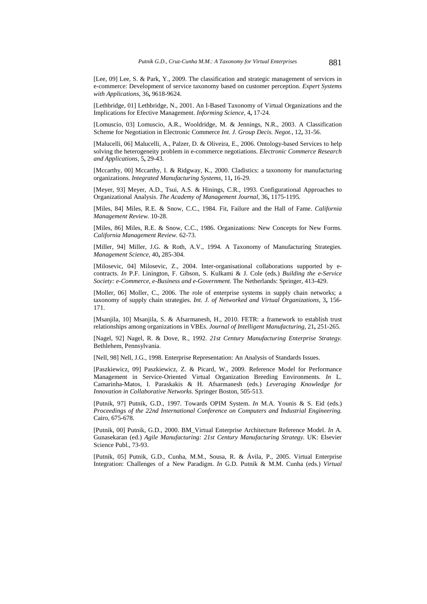[Lee, 09] Lee, S. & Park, Y., 2009. The classification and strategic management of services in e-commerce: Development of service taxonomy based on customer perception. *Expert Systems with Applications,* 36**,** 9618-9624.

[Lethbridge, 01] Lethbridge, N., 2001. An I-Based Taxonomy of Virtual Organizations and the Implications for Efective Management. *Informing Science,* 4**,** 17-24.

[Lomuscio, 03] Lomuscio, A.R., Wooldridge, M. & Jennings, N.R., 2003. A Classification Scheme for Negotiation in Electronic Commerce *Int. J. Group Decis. Negot.,* 12**,** 31-56.

[Malucelli, 06] Malucelli, A., Palzer, D. & Oliveira, E., 2006. Ontology-based Services to help solving the heterogeneity problem in e-commerce negotiations. *Electronic Commerce Research and Applications,* 5**,** 29-43.

[Mccarthy, 00] Mccarthy, I. & Ridgway, K., 2000. Cladistics: a taxonomy for manufacturing organizations. *Integrated Manufacturing Systems,* 11**,** 16-29.

[Meyer, 93] Meyer, A.D., Tsui, A.S. & Hinings, C.R., 1993. Configurational Approaches to Organizational Analysis. *The Academy of Management Journal,* 36**,** 1175-1195.

[Miles, 84] Miles, R.E. & Snow, C.C., 1984. Fit, Failure and the Hall of Fame. *California Management Review.* 10-28.

[Miles, 86] Miles, R.E. & Snow, C.C., 1986. Organizations: New Concepts for New Forms. *California Management Review.* 62-73.

[Miller, 94] Miller, J.G. & Roth, A.V., 1994. A Taxonomy of Manufacturing Strategies. *Management Science,* 40**,** 285-304.

[Milosevic, 04] Milosevic, Z., 2004. Inter-organisational collaborations supported by econtracts. *In* P.F. Linington, F. Gibson, S. Kulkami & J. Cole (eds.) *Building the e-Service Society: e-Commerce, e-Business and e-Government.* The Netherlands: Springer, 413-429.

[Moller, 06] Moller, C., 2006. The role of enterprise systems in supply chain networks; a taxonomy of supply chain strategies. *Int. J. of Networked and Virtual Organizations,* 3**,** 156- 171.

[Msanjila, 10] Msanjila, S. & Afsarmanesh, H., 2010. FETR: a framework to establish trust relationships among organizations in VBEs. *Journal of Intelligent Manufacturing,* 21**,** 251-265.

[Nagel, 92] Nagel, R. & Dove, R., 1992. *21st Century Manufacturing Enterprise Strategy.*  Bethlehem, Pennsylvania.

[Nell, 98] Nell, J.G., 1998. Enterprise Representation: An Analysis of Standards Issues.

[Paszkiewicz, 09] Paszkiewicz, Z. & Picard, W., 2009. Reference Model for Performance Management in Service-Oriented Virtual Organization Breeding Environments. *In* L. Camarinha-Matos, I. Paraskakis & H. Afsarmanesh (eds.) *Leveraging Knowledge for Innovation in Collaborative Networks.* Springer Boston, 505-513.

[Putnik, 97] Putnik, G.D., 1997. Towards OPIM System. *In* M.A. Younis & S. Eid (eds.) *Proceedings of the 22nd International Conference on Computers and Industrial Engineering.*  Cairo, 675-678.

[Putnik, 00] Putnik, G.D., 2000. BM\_Virtual Enterprise Architecture Reference Model. *In* A. Gunasekaran (ed.) *Agile Manufacturing: 21st Century Manufacturing Strategy.* UK: Elsevier Science Publ., 73-93.

[Putnik, 05] Putnik, G.D., Cunha, M.M., Sousa, R. & Ávila, P., 2005. Virtual Enterprise Integration: Challenges of a New Paradigm. *In* G.D. Putnik & M.M. Cunha (eds.) *Virtual*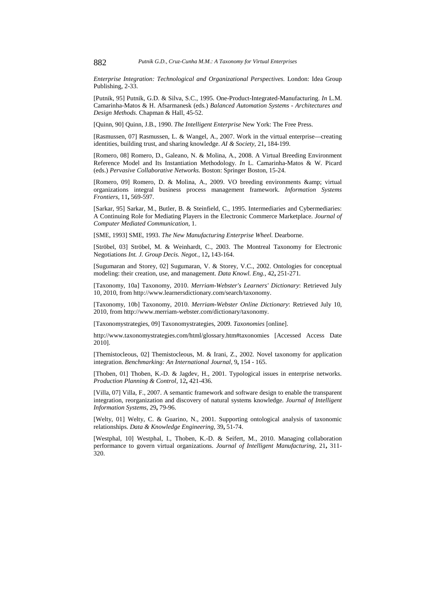*Enterprise Integration: Technological and Organizational Perspectives.* London: Idea Group Publishing, 2-33.

[Putnik, 95] Putnik, G.D. & Silva, S.C., 1995. One-Product-Integrated-Manufacturing. *In* L.M. Camarinha-Matos & H. Afsarmanesk (eds.) *Balanced Automation Systems - Architectures and Design Methods.* Chapman & Hall, 45-52.

[Quinn, 90] Quinn, J.B., 1990. *The Intelligent Enterprise* New York: The Free Press.

[Rasmussen, 07] Rasmussen, L. & Wangel, A., 2007. Work in the virtual enterprise—creating identities, building trust, and sharing knowledge. *AI & Society,* 21**,** 184-199.

[Romero, 08] Romero, D., Galeano, N. & Molina, A., 2008. A Virtual Breeding Environment Reference Model and Its Instantiation Methodology. *In* L. Camarinha-Matos & W. Picard (eds.) *Pervasive Collaborative Networks.* Boston: Springer Boston, 15-24.

[Romero, 09] Romero, D. & Molina, A., 2009. VO breeding environments & virtual organizations integral business process management framework. *Information Systems Frontiers,* 11**,** 569-597.

[Sarkar, 95] Sarkar, M., Butler, B. & Steinfield, C., 1995. Intermediaries and Cybermediaries: A Continuing Role for Mediating Players in the Electronic Commerce Marketplace. *Journal of Computer Mediated Communication,* 1.

[SME, 1993] SME, 1993. *The New Manufacturing Enterprise Wheel.* Dearborne.

[Ströbel, 03] Ströbel, M. & Weinhardt, C., 2003. The Montreal Taxonomy for Electronic Negotiations *Int. J. Group Decis. Negot.,* 12**,** 143-164.

[Sugumaran and Storey, 02] Sugumaran, V. & Storey, V.C., 2002. Ontologies for conceptual modeling: their creation, use, and management. *Data Knowl. Eng.,* 42**,** 251-271.

[Taxonomy, 10a] Taxonomy, 2010. *Merriam-Webster's Learners' Dictionary*: Retrieved July 10, 2010, from http://www.learnersdictionary.com/search/taxonomy.

[Taxonomy, 10b] Taxonomy, 2010. *Merriam-Webster Online Dictionary*: Retrieved July 10, 2010, from http://www.merriam-webster.com/dictionary/taxonomy.

[Taxonomystrategies, 09] Taxonomystrategies, 2009. *Taxonomies* [online].

http://www.taxonomystrategies.com/html/glossary.htm#taxonomies [Accessed Access Date 2010].

[Themistocleous, 02] Themistocleous, M. & Irani, Z., 2002. Novel taxonomy for application integration. *Benchmarking: An International Journal,* 9**,** 154 - 165.

[Thoben, 01] Thoben, K.-D. & Jagdev, H., 2001. Typological issues in enterprise networks. *Production Planning & Control,* 12**,** 421-436.

[Villa, 07] Villa, F., 2007. A semantic framework and software design to enable the transparent integration, reorganization and discovery of natural systems knowledge. *Journal of Intelligent Information Systems,* 29**,** 79-96.

[Welty, 01] Welty, C. & Guarino, N., 2001. Supporting ontological analysis of taxonomic relationships. *Data & Knowledge Engineering,* 39**,** 51-74.

[Westphal, 10] Westphal, I., Thoben, K.-D. & Seifert, M., 2010. Managing collaboration performance to govern virtual organizations. *Journal of Intelligent Manufacturing,* 21**,** 311- 320.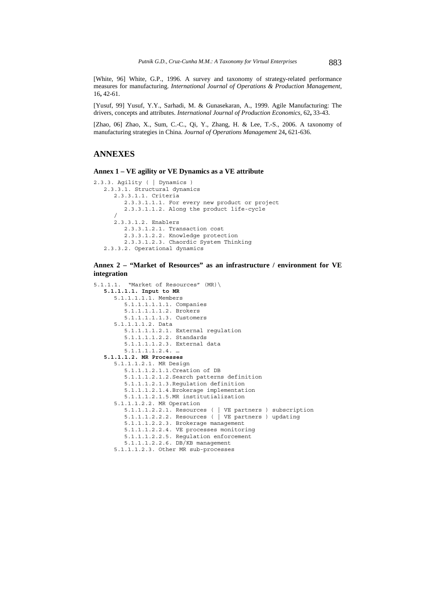[White, 96] White, G.P., 1996. A survey and taxonomy of strategy-related performance measures for manufacturing. *International Journal of Operations & Production Management,*  16**,** 42-61.

[Yusuf, 99] Yusuf, Y.Y., Sarhadi, M. & Gunasekaran, A., 1999. Agile Manufacturing: The drivers, concepts and attributes. *International Journal of Production Economics,* 62**,** 33-43.

[Zhao, 06] Zhao, X., Sum, C.-C., Qi, Y., Zhang, H. & Lee, T.-S., 2006. A taxonomy of manufacturing strategies in China. *Journal of Operations Management* 24**,** 621-636.

# **ANNEXES**

#### **Annex 1 – VE agility or VE Dynamics as a VE attribute**

```
2.3.3. Agility ( | Dynamics ) 
    2.3.3.1. Structural dynamics 
       2.3.3.1.1. Criteria 
          2.3.3.1.1.1. For every new product or project 
          2.3.3.1.1.2. Along the product life-cycle 
 / 
       2.3.3.1.2. Enablers 
          2.3.3.1.2.1. Transaction cost 
          2.3.3.1.2.2. Knowledge protection 
          2.3.3.1.2.3. Chaordic System Thinking 
    2.3.3.2. Operational dynamics
```
**Annex 2 – "Market of Resources" as an infrastructure / environment for VE integration** 

```
5.1.1.1. "Market of Resources" (MR)\ 
   5.1.1.1.1. Input to MR 
      5.1.1.1.1.1. Members 
          5.1.1.1.1.1.1. Companies 
          5.1.1.1.1.1.2. Brokers 
          5.1.1.1.1.1.3. Customers 
       5.1.1.1.1.2. Data 
          5.1.1.1.1.2.1. External regulation 
          5.1.1.1.1.2.2. Standards 
          5.1.1.1.1.2.3. External data 
          5.1.1.1.1.2.4. … 
   5.1.1.1.2. MR Processes 
       5.1.1.1.2.1. MR Design 
          5.1.1.1.2.1.1.Creation of DB 
          5.1.1.1.2.1.2.Search patterns definition 
          5.1.1.1.2.1.3.Regulation definition 
          5.1.1.1.2.1.4.Brokerage implementation 
          5.1.1.1.2.1.5.MR institutialization 
       5.1.1.1.2.2. MR Operation 
          5.1.1.1.2.2.1. Resources ( | VE partners ) subscription 
          5.1.1.1.2.2.2. Resources ( | VE partners ) updating 
 5.1.1.1.2.2.3. Brokerage management 
 5.1.1.1.2.2.4. VE processes monitoring 
          5.1.1.1.2.2.5. Regulation enforcement 
          5.1.1.1.2.2.6. DB/KB management 
       5.1.1.1.2.3. Other MR sub-processes
```